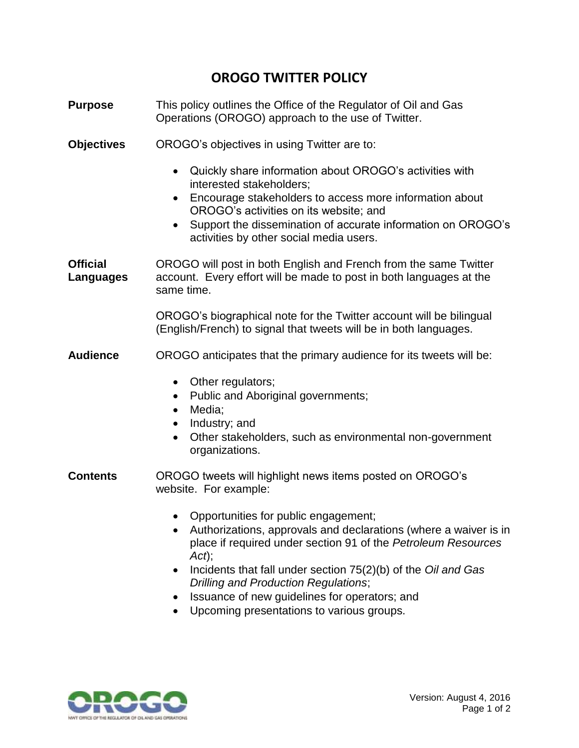## **OROGO TWITTER POLICY**

| <b>Purpose</b>                      | This policy outlines the Office of the Regulator of Oil and Gas<br>Operations (OROGO) approach to the use of Twitter.                                                                                                                                                                                                                                       |
|-------------------------------------|-------------------------------------------------------------------------------------------------------------------------------------------------------------------------------------------------------------------------------------------------------------------------------------------------------------------------------------------------------------|
| <b>Objectives</b>                   | OROGO's objectives in using Twitter are to:                                                                                                                                                                                                                                                                                                                 |
|                                     | Quickly share information about OROGO's activities with<br>$\bullet$<br>interested stakeholders;<br>Encourage stakeholders to access more information about<br>$\bullet$<br>OROGO's activities on its website; and<br>Support the dissemination of accurate information on OROGO's<br>$\bullet$<br>activities by other social media users.                  |
| <b>Official</b><br><b>Languages</b> | OROGO will post in both English and French from the same Twitter<br>account. Every effort will be made to post in both languages at the<br>same time.                                                                                                                                                                                                       |
|                                     | OROGO's biographical note for the Twitter account will be bilingual<br>(English/French) to signal that tweets will be in both languages.                                                                                                                                                                                                                    |
| <b>Audience</b>                     | OROGO anticipates that the primary audience for its tweets will be:                                                                                                                                                                                                                                                                                         |
|                                     | Other regulators;<br>$\bullet$<br>Public and Aboriginal governments;<br>$\bullet$<br>Media;<br>$\bullet$<br>Industry; and<br>$\bullet$<br>Other stakeholders, such as environmental non-government<br>$\bullet$<br>organizations.                                                                                                                           |
| <b>Contents</b>                     | OROGO tweets will highlight news items posted on OROGO's<br>website. For example:                                                                                                                                                                                                                                                                           |
|                                     | Opportunities for public engagement;<br>Authorizations, approvals and declarations (where a waiver is in<br>place if required under section 91 of the Petroleum Resources<br>$Act)$ ;<br>Incidents that fall under section 75(2)(b) of the Oil and Gas<br>٠<br><b>Drilling and Production Regulations;</b><br>Issuance of new guidelines for operators; and |

Upcoming presentations to various groups.